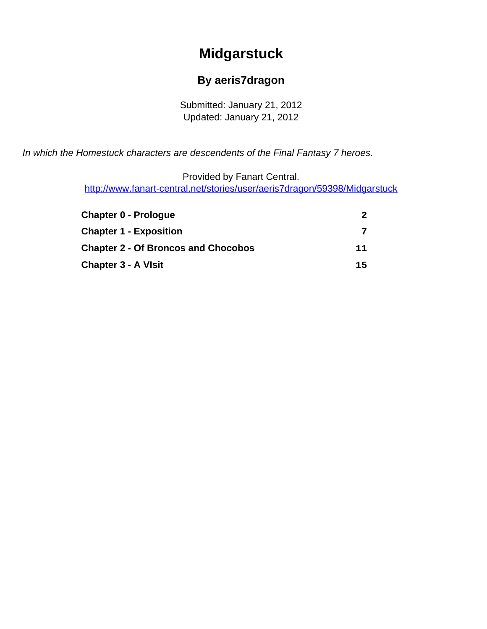# **Midgarstuck**

#### **By aeris7dragon**

Submitted: January 21, 2012 Updated: January 21, 2012

<span id="page-0-0"></span>In which the Homestuck characters are descendents of the Final Fantasy 7 heroes.

Provided by Fanart Central.

[http://www.fanart-central.net/stories/user/aeris7dragon/59398/Midgarstuck](#page-0-0)

| <b>Chapter 0 - Prologue</b>                | $2^{\circ}$ |
|--------------------------------------------|-------------|
| <b>Chapter 1 - Exposition</b>              |             |
| <b>Chapter 2 - Of Broncos and Chocobos</b> | 11          |
| <b>Chapter 3 - A VIsit</b>                 | 15          |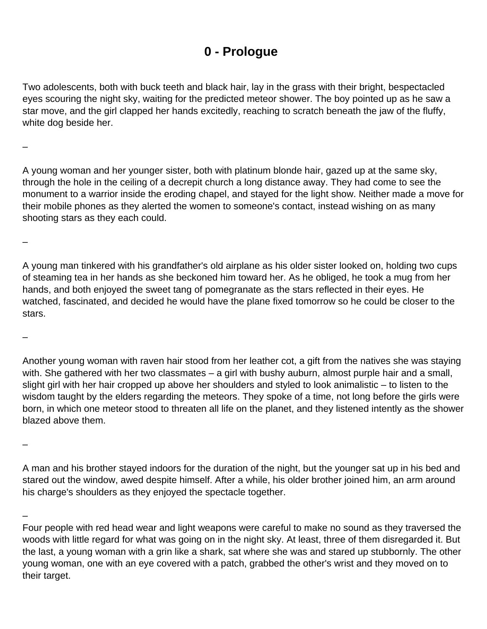### **0 - Prologue**

<span id="page-1-0"></span>Two adolescents, both with buck teeth and black hair, lay in the grass with their bright, bespectacled eyes scouring the night sky, waiting for the predicted meteor shower. The boy pointed up as he saw a star move, and the girl clapped her hands excitedly, reaching to scratch beneath the jaw of the fluffy, white dog beside her.

–

A young woman and her younger sister, both with platinum blonde hair, gazed up at the same sky, through the hole in the ceiling of a decrepit church a long distance away. They had come to see the monument to a warrior inside the eroding chapel, and stayed for the light show. Neither made a move for their mobile phones as they alerted the women to someone's contact, instead wishing on as many shooting stars as they each could.

A young man tinkered with his grandfather's old airplane as his older sister looked on, holding two cups of steaming tea in her hands as she beckoned him toward her. As he obliged, he took a mug from her hands, and both enjoyed the sweet tang of pomegranate as the stars reflected in their eyes. He watched, fascinated, and decided he would have the plane fixed tomorrow so he could be closer to the stars.

–

–

Another young woman with raven hair stood from her leather cot, a gift from the natives she was staying with. She gathered with her two classmates – a girl with bushy auburn, almost purple hair and a small, slight girl with her hair cropped up above her shoulders and styled to look animalistic – to listen to the wisdom taught by the elders regarding the meteors. They spoke of a time, not long before the girls were born, in which one meteor stood to threaten all life on the planet, and they listened intently as the shower blazed above them.

–

A man and his brother stayed indoors for the duration of the night, but the younger sat up in his bed and stared out the window, awed despite himself. After a while, his older brother joined him, an arm around his charge's shoulders as they enjoyed the spectacle together.

–

Four people with red head wear and light weapons were careful to make no sound as they traversed the woods with little regard for what was going on in the night sky. At least, three of them disregarded it. But the last, a young woman with a grin like a shark, sat where she was and stared up stubbornly. The other young woman, one with an eye covered with a patch, grabbed the other's wrist and they moved on to their target.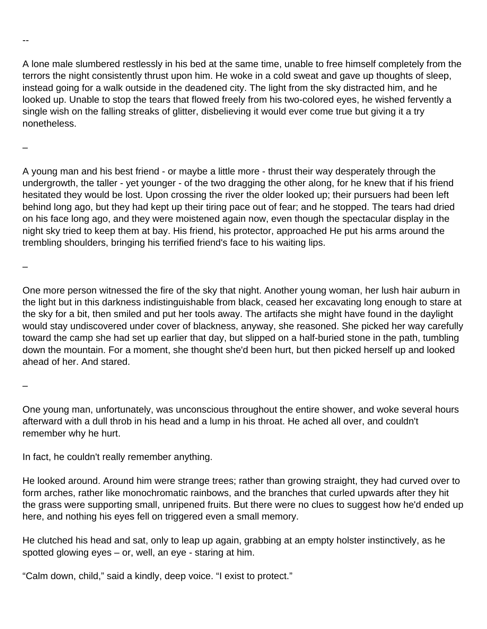A lone male slumbered restlessly in his bed at the same time, unable to free himself completely from the terrors the night consistently thrust upon him. He woke in a cold sweat and gave up thoughts of sleep, instead going for a walk outside in the deadened city. The light from the sky distracted him, and he looked up. Unable to stop the tears that flowed freely from his two-colored eyes, he wished fervently a single wish on the falling streaks of glitter, disbelieving it would ever come true but giving it a try nonetheless.

–

--

A young man and his best friend - or maybe a little more - thrust their way desperately through the undergrowth, the taller - yet younger - of the two dragging the other along, for he knew that if his friend hesitated they would be lost. Upon crossing the river the older looked up; their pursuers had been left behind long ago, but they had kept up their tiring pace out of fear; and he stopped. The tears had dried on his face long ago, and they were moistened again now, even though the spectacular display in the night sky tried to keep them at bay. His friend, his protector, approached He put his arms around the trembling shoulders, bringing his terrified friend's face to his waiting lips.

–

One more person witnessed the fire of the sky that night. Another young woman, her lush hair auburn in the light but in this darkness indistinguishable from black, ceased her excavating long enough to stare at the sky for a bit, then smiled and put her tools away. The artifacts she might have found in the daylight would stay undiscovered under cover of blackness, anyway, she reasoned. She picked her way carefully toward the camp she had set up earlier that day, but slipped on a half-buried stone in the path, tumbling down the mountain. For a moment, she thought she'd been hurt, but then picked herself up and looked ahead of her. And stared.

–

One young man, unfortunately, was unconscious throughout the entire shower, and woke several hours afterward with a dull throb in his head and a lump in his throat. He ached all over, and couldn't remember why he hurt.

In fact, he couldn't really remember anything.

He looked around. Around him were strange trees; rather than growing straight, they had curved over to form arches, rather like monochromatic rainbows, and the branches that curled upwards after they hit the grass were supporting small, unripened fruits. But there were no clues to suggest how he'd ended up here, and nothing his eyes fell on triggered even a small memory.

He clutched his head and sat, only to leap up again, grabbing at an empty holster instinctively, as he spotted glowing eyes – or, well, an eye - staring at him.

"Calm down, child," said a kindly, deep voice. "I exist to protect."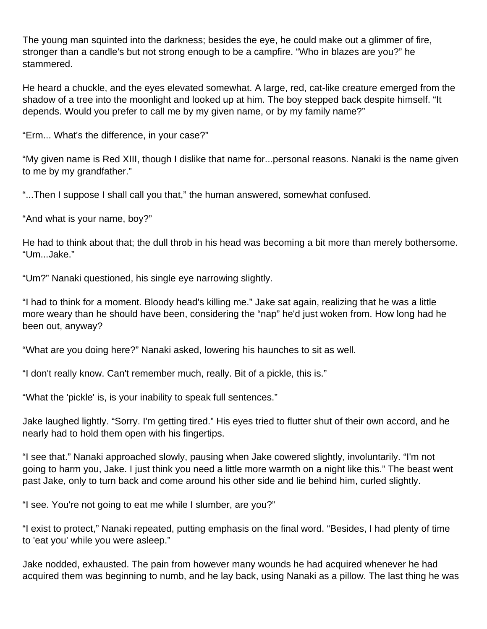The young man squinted into the darkness; besides the eye, he could make out a glimmer of fire, stronger than a candle's but not strong enough to be a campfire. "Who in blazes are you?" he stammered.

He heard a chuckle, and the eyes elevated somewhat. A large, red, cat-like creature emerged from the shadow of a tree into the moonlight and looked up at him. The boy stepped back despite himself. "It depends. Would you prefer to call me by my given name, or by my family name?"

"Erm... What's the difference, in your case?"

"My given name is Red XIII, though I dislike that name for...personal reasons. Nanaki is the name given to me by my grandfather."

"...Then I suppose I shall call you that," the human answered, somewhat confused.

"And what is your name, boy?"

He had to think about that; the dull throb in his head was becoming a bit more than merely bothersome. "Um...Jake."

"Um?" Nanaki questioned, his single eye narrowing slightly.

"I had to think for a moment. Bloody head's killing me." Jake sat again, realizing that he was a little more weary than he should have been, considering the "nap" he'd just woken from. How long had he been out, anyway?

"What are you doing here?" Nanaki asked, lowering his haunches to sit as well.

"I don't really know. Can't remember much, really. Bit of a pickle, this is."

"What the 'pickle' is, is your inability to speak full sentences."

Jake laughed lightly. "Sorry. I'm getting tired." His eyes tried to flutter shut of their own accord, and he nearly had to hold them open with his fingertips.

"I see that." Nanaki approached slowly, pausing when Jake cowered slightly, involuntarily. "I'm not going to harm you, Jake. I just think you need a little more warmth on a night like this." The beast went past Jake, only to turn back and come around his other side and lie behind him, curled slightly.

"I see. You're not going to eat me while I slumber, are you?"

"I exist to protect," Nanaki repeated, putting emphasis on the final word. "Besides, I had plenty of time to 'eat you' while you were asleep."

Jake nodded, exhausted. The pain from however many wounds he had acquired whenever he had acquired them was beginning to numb, and he lay back, using Nanaki as a pillow. The last thing he was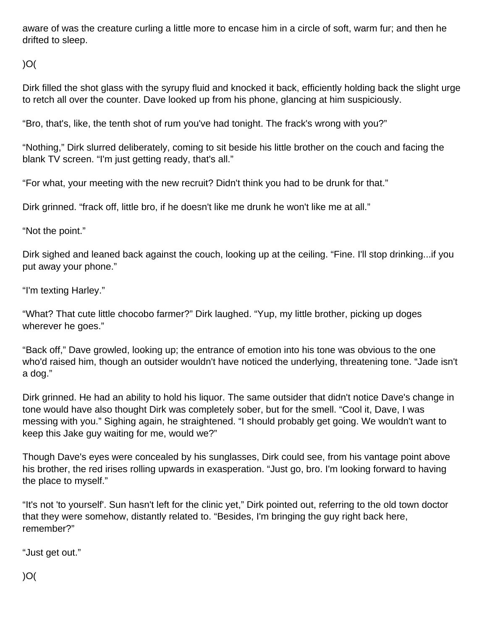aware of was the creature curling a little more to encase him in a circle of soft, warm fur; and then he drifted to sleep.

)O(

Dirk filled the shot glass with the syrupy fluid and knocked it back, efficiently holding back the slight urge to retch all over the counter. Dave looked up from his phone, glancing at him suspiciously.

"Bro, that's, like, the tenth shot of rum you've had tonight. The frack's wrong with you?"

"Nothing," Dirk slurred deliberately, coming to sit beside his little brother on the couch and facing the blank TV screen. "I'm just getting ready, that's all."

"For what, your meeting with the new recruit? Didn't think you had to be drunk for that."

Dirk grinned. "frack off, little bro, if he doesn't like me drunk he won't like me at all."

"Not the point."

Dirk sighed and leaned back against the couch, looking up at the ceiling. "Fine. I'll stop drinking...if you put away your phone."

"I'm texting Harley."

"What? That cute little chocobo farmer?" Dirk laughed. "Yup, my little brother, picking up doges wherever he goes."

"Back off," Dave growled, looking up; the entrance of emotion into his tone was obvious to the one who'd raised him, though an outsider wouldn't have noticed the underlying, threatening tone. "Jade isn't a dog."

Dirk grinned. He had an ability to hold his liquor. The same outsider that didn't notice Dave's change in tone would have also thought Dirk was completely sober, but for the smell. "Cool it, Dave, I was messing with you." Sighing again, he straightened. "I should probably get going. We wouldn't want to keep this Jake guy waiting for me, would we?"

Though Dave's eyes were concealed by his sunglasses, Dirk could see, from his vantage point above his brother, the red irises rolling upwards in exasperation. "Just go, bro. I'm looking forward to having the place to myself."

"It's not 'to yourself'. Sun hasn't left for the clinic yet," Dirk pointed out, referring to the old town doctor that they were somehow, distantly related to. "Besides, I'm bringing the guy right back here, remember?"

"Just get out."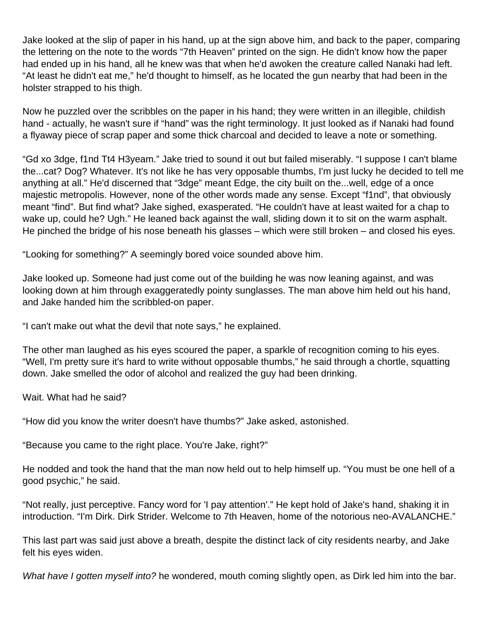Jake looked at the slip of paper in his hand, up at the sign above him, and back to the paper, comparing the lettering on the note to the words "7th Heaven" printed on the sign. He didn't know how the paper had ended up in his hand, all he knew was that when he'd awoken the creature called Nanaki had left. "At least he didn't eat me," he'd thought to himself, as he located the gun nearby that had been in the holster strapped to his thigh.

Now he puzzled over the scribbles on the paper in his hand; they were written in an illegible, childish hand - actually, he wasn't sure if "hand" was the right terminology. It just looked as if Nanaki had found a flyaway piece of scrap paper and some thick charcoal and decided to leave a note or something.

"Gd xo 3dge, f1nd Tt4 H3yeam." Jake tried to sound it out but failed miserably. "I suppose I can't blame the...cat? Dog? Whatever. It's not like he has very opposable thumbs, I'm just lucky he decided to tell me anything at all." He'd discerned that "3dge" meant Edge, the city built on the...well, edge of a once majestic metropolis. However, none of the other words made any sense. Except "f1nd", that obviously meant "find". But find what? Jake sighed, exasperated. "He couldn't have at least waited for a chap to wake up, could he? Ugh." He leaned back against the wall, sliding down it to sit on the warm asphalt. He pinched the bridge of his nose beneath his glasses – which were still broken – and closed his eyes.

"Looking for something?" A seemingly bored voice sounded above him.

Jake looked up. Someone had just come out of the building he was now leaning against, and was looking down at him through exaggeratedly pointy sunglasses. The man above him held out his hand, and Jake handed him the scribbled-on paper.

"I can't make out what the devil that note says," he explained.

The other man laughed as his eyes scoured the paper, a sparkle of recognition coming to his eyes. "Well, I'm pretty sure it's hard to write without opposable thumbs," he said through a chortle, squatting down. Jake smelled the odor of alcohol and realized the guy had been drinking.

Wait. What had he said?

"How did you know the writer doesn't have thumbs?" Jake asked, astonished.

"Because you came to the right place. You're Jake, right?"

He nodded and took the hand that the man now held out to help himself up. "You must be one hell of a good psychic," he said.

"Not really, just perceptive. Fancy word for 'I pay attention'." He kept hold of Jake's hand, shaking it in introduction. "I'm Dirk. Dirk Strider. Welcome to 7th Heaven, home of the notorious neo-AVALANCHE."

This last part was said just above a breath, despite the distinct lack of city residents nearby, and Jake felt his eyes widen.

What have I gotten myself into? he wondered, mouth coming slightly open, as Dirk led him into the bar.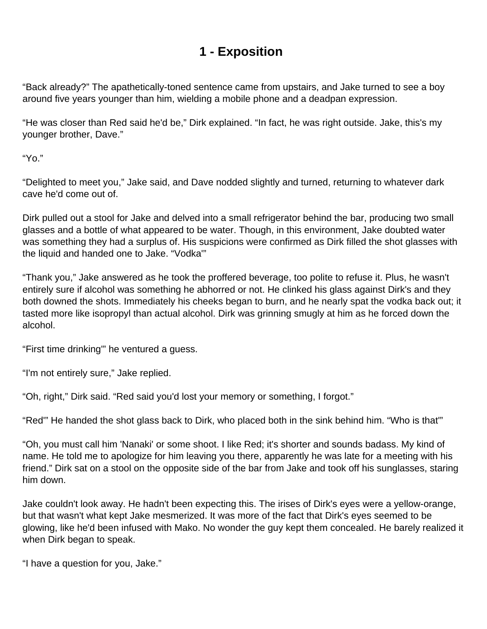# **1 - Exposition**

<span id="page-6-0"></span>"Back already?" The apathetically-toned sentence came from upstairs, and Jake turned to see a boy around five years younger than him, wielding a mobile phone and a deadpan expression.

"He was closer than Red said he'd be," Dirk explained. "In fact, he was right outside. Jake, this's my younger brother, Dave."

"Yo."

"Delighted to meet you," Jake said, and Dave nodded slightly and turned, returning to whatever dark cave he'd come out of.

Dirk pulled out a stool for Jake and delved into a small refrigerator behind the bar, producing two small glasses and a bottle of what appeared to be water. Though, in this environment, Jake doubted water was something they had a surplus of. His suspicions were confirmed as Dirk filled the shot glasses with the liquid and handed one to Jake. "Vodka'"

"Thank you," Jake answered as he took the proffered beverage, too polite to refuse it. Plus, he wasn't entirely sure if alcohol was something he abhorred or not. He clinked his glass against Dirk's and they both downed the shots. Immediately his cheeks began to burn, and he nearly spat the vodka back out; it tasted more like isopropyl than actual alcohol. Dirk was grinning smugly at him as he forced down the alcohol.

"First time drinking'" he ventured a guess.

"I'm not entirely sure," Jake replied.

"Oh, right," Dirk said. "Red said you'd lost your memory or something, I forgot."

"Red'" He handed the shot glass back to Dirk, who placed both in the sink behind him. "Who is that'"

"Oh, you must call him 'Nanaki' or some shoot. I like Red; it's shorter and sounds badass. My kind of name. He told me to apologize for him leaving you there, apparently he was late for a meeting with his friend." Dirk sat on a stool on the opposite side of the bar from Jake and took off his sunglasses, staring him down.

Jake couldn't look away. He hadn't been expecting this. The irises of Dirk's eyes were a yellow-orange, but that wasn't what kept Jake mesmerized. It was more of the fact that Dirk's eyes seemed to be glowing, like he'd been infused with Mako. No wonder the guy kept them concealed. He barely realized it when Dirk began to speak.

"I have a question for you, Jake."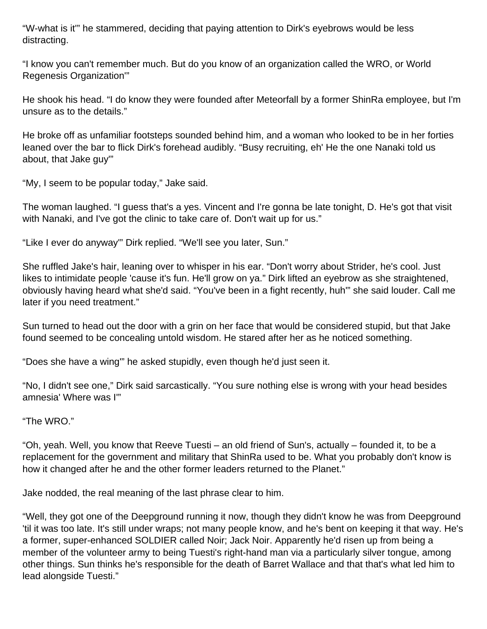"W-what is it'" he stammered, deciding that paying attention to Dirk's eyebrows would be less distracting.

"I know you can't remember much. But do you know of an organization called the WRO, or World Regenesis Organization'"

He shook his head. "I do know they were founded after Meteorfall by a former ShinRa employee, but I'm unsure as to the details."

He broke off as unfamiliar footsteps sounded behind him, and a woman who looked to be in her forties leaned over the bar to flick Dirk's forehead audibly. "Busy recruiting, eh' He the one Nanaki told us about, that Jake guy'"

"My, I seem to be popular today," Jake said.

The woman laughed. "I guess that's a yes. Vincent and I're gonna be late tonight, D. He's got that visit with Nanaki, and I've got the clinic to take care of. Don't wait up for us."

"Like I ever do anyway'" Dirk replied. "We'll see you later, Sun."

She ruffled Jake's hair, leaning over to whisper in his ear. "Don't worry about Strider, he's cool. Just likes to intimidate people 'cause it's fun. He'll grow on ya." Dirk lifted an eyebrow as she straightened, obviously having heard what she'd said. "You've been in a fight recently, huh'" she said louder. Call me later if you need treatment."

Sun turned to head out the door with a grin on her face that would be considered stupid, but that Jake found seemed to be concealing untold wisdom. He stared after her as he noticed something.

"Does she have a wing'" he asked stupidly, even though he'd just seen it.

"No, I didn't see one," Dirk said sarcastically. "You sure nothing else is wrong with your head besides amnesia' Where was I'"

"The WRO."

"Oh, yeah. Well, you know that Reeve Tuesti – an old friend of Sun's, actually – founded it, to be a replacement for the government and military that ShinRa used to be. What you probably don't know is how it changed after he and the other former leaders returned to the Planet."

Jake nodded, the real meaning of the last phrase clear to him.

"Well, they got one of the Deepground running it now, though they didn't know he was from Deepground 'til it was too late. It's still under wraps; not many people know, and he's bent on keeping it that way. He's a former, super-enhanced SOLDIER called Noir; Jack Noir. Apparently he'd risen up from being a member of the volunteer army to being Tuesti's right-hand man via a particularly silver tongue, among other things. Sun thinks he's responsible for the death of Barret Wallace and that that's what led him to lead alongside Tuesti."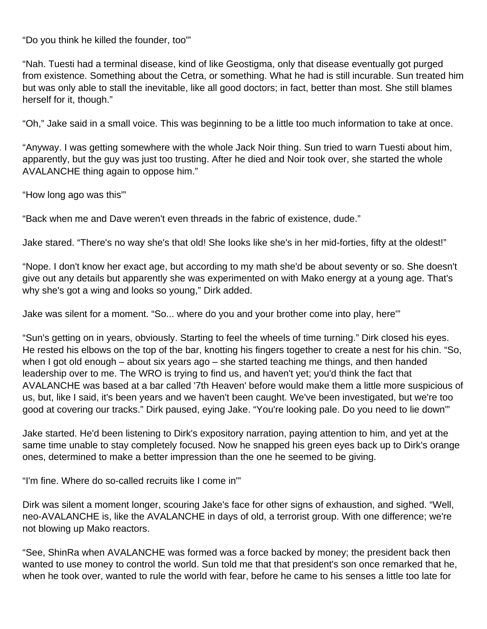"Do you think he killed the founder, too'"

"Nah. Tuesti had a terminal disease, kind of like Geostigma, only that disease eventually got purged from existence. Something about the Cetra, or something. What he had is still incurable. Sun treated him but was only able to stall the inevitable, like all good doctors; in fact, better than most. She still blames herself for it, though."

"Oh," Jake said in a small voice. This was beginning to be a little too much information to take at once.

"Anyway. I was getting somewhere with the whole Jack Noir thing. Sun tried to warn Tuesti about him, apparently, but the guy was just too trusting. After he died and Noir took over, she started the whole AVALANCHE thing again to oppose him."

"How long ago was this'"

"Back when me and Dave weren't even threads in the fabric of existence, dude."

Jake stared. "There's no way she's that old! She looks like she's in her mid-forties, fifty at the oldest!"

"Nope. I don't know her exact age, but according to my math she'd be about seventy or so. She doesn't give out any details but apparently she was experimented on with Mako energy at a young age. That's why she's got a wing and looks so young," Dirk added.

Jake was silent for a moment. "So... where do you and your brother come into play, here'"

"Sun's getting on in years, obviously. Starting to feel the wheels of time turning." Dirk closed his eyes. He rested his elbows on the top of the bar, knotting his fingers together to create a nest for his chin. "So, when I got old enough – about six years ago – she started teaching me things, and then handed leadership over to me. The WRO is trying to find us, and haven't yet; you'd think the fact that AVALANCHE was based at a bar called '7th Heaven' before would make them a little more suspicious of us, but, like I said, it's been years and we haven't been caught. We've been investigated, but we're too good at covering our tracks." Dirk paused, eying Jake. "You're looking pale. Do you need to lie down'"

Jake started. He'd been listening to Dirk's expository narration, paying attention to him, and yet at the same time unable to stay completely focused. Now he snapped his green eyes back up to Dirk's orange ones, determined to make a better impression than the one he seemed to be giving.

"I'm fine. Where do so-called recruits like I come in'"

Dirk was silent a moment longer, scouring Jake's face for other signs of exhaustion, and sighed. "Well, neo-AVALANCHE is, like the AVALANCHE in days of old, a terrorist group. With one difference; we're not blowing up Mako reactors.

"See, ShinRa when AVALANCHE was formed was a force backed by money; the president back then wanted to use money to control the world. Sun told me that that president's son once remarked that he, when he took over, wanted to rule the world with fear, before he came to his senses a little too late for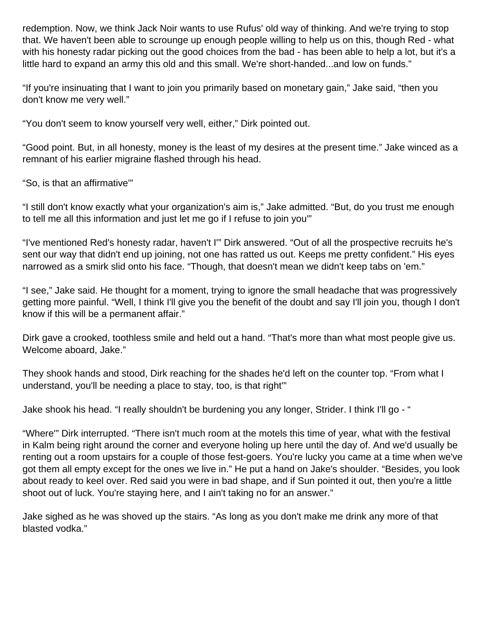redemption. Now, we think Jack Noir wants to use Rufus' old way of thinking. And we're trying to stop that. We haven't been able to scrounge up enough people willing to help us on this, though Red - what with his honesty radar picking out the good choices from the bad - has been able to help a lot, but it's a little hard to expand an army this old and this small. We're short-handed...and low on funds."

"If you're insinuating that I want to join you primarily based on monetary gain," Jake said, "then you don't know me very well."

"You don't seem to know yourself very well, either," Dirk pointed out.

"Good point. But, in all honesty, money is the least of my desires at the present time." Jake winced as a remnant of his earlier migraine flashed through his head.

"So, is that an affirmative'"

"I still don't know exactly what your organization's aim is," Jake admitted. "But, do you trust me enough to tell me all this information and just let me go if I refuse to join you'"

"I've mentioned Red's honesty radar, haven't I'" Dirk answered. "Out of all the prospective recruits he's sent our way that didn't end up joining, not one has ratted us out. Keeps me pretty confident." His eyes narrowed as a smirk slid onto his face. "Though, that doesn't mean we didn't keep tabs on 'em."

"I see," Jake said. He thought for a moment, trying to ignore the small headache that was progressively getting more painful. "Well, I think I'll give you the benefit of the doubt and say I'll join you, though I don't know if this will be a permanent affair."

Dirk gave a crooked, toothless smile and held out a hand. "That's more than what most people give us. Welcome aboard, Jake."

They shook hands and stood, Dirk reaching for the shades he'd left on the counter top. "From what I understand, you'll be needing a place to stay, too, is that right'"

Jake shook his head. "I really shouldn't be burdening you any longer, Strider. I think I'll go - "

"Where'" Dirk interrupted. "There isn't much room at the motels this time of year, what with the festival in Kalm being right around the corner and everyone holing up here until the day of. And we'd usually be renting out a room upstairs for a couple of those fest-goers. You're lucky you came at a time when we've got them all empty except for the ones we live in." He put a hand on Jake's shoulder. "Besides, you look about ready to keel over. Red said you were in bad shape, and if Sun pointed it out, then you're a little shoot out of luck. You're staying here, and I ain't taking no for an answer."

Jake sighed as he was shoved up the stairs. "As long as you don't make me drink any more of that blasted vodka."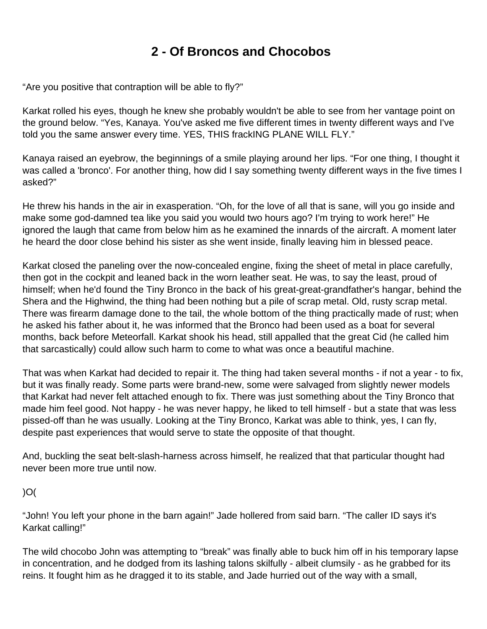# **2 - Of Broncos and Chocobos**

<span id="page-10-0"></span>"Are you positive that contraption will be able to fly?"

Karkat rolled his eyes, though he knew she probably wouldn't be able to see from her vantage point on the ground below. "Yes, Kanaya. You've asked me five different times in twenty different ways and I've told you the same answer every time. YES, THIS frackING PLANE WILL FLY."

Kanaya raised an eyebrow, the beginnings of a smile playing around her lips. "For one thing, I thought it was called a 'bronco'. For another thing, how did I say something twenty different ways in the five times I asked?"

He threw his hands in the air in exasperation. "Oh, for the love of all that is sane, will you go inside and make some god-damned tea like you said you would two hours ago? I'm trying to work here!" He ignored the laugh that came from below him as he examined the innards of the aircraft. A moment later he heard the door close behind his sister as she went inside, finally leaving him in blessed peace.

Karkat closed the paneling over the now-concealed engine, fixing the sheet of metal in place carefully, then got in the cockpit and leaned back in the worn leather seat. He was, to say the least, proud of himself; when he'd found the Tiny Bronco in the back of his great-great-grandfather's hangar, behind the Shera and the Highwind, the thing had been nothing but a pile of scrap metal. Old, rusty scrap metal. There was firearm damage done to the tail, the whole bottom of the thing practically made of rust; when he asked his father about it, he was informed that the Bronco had been used as a boat for several months, back before Meteorfall. Karkat shook his head, still appalled that the great Cid (he called him that sarcastically) could allow such harm to come to what was once a beautiful machine.

That was when Karkat had decided to repair it. The thing had taken several months - if not a year - to fix, but it was finally ready. Some parts were brand-new, some were salvaged from slightly newer models that Karkat had never felt attached enough to fix. There was just something about the Tiny Bronco that made him feel good. Not happy - he was never happy, he liked to tell himself - but a state that was less pissed-off than he was usually. Looking at the Tiny Bronco, Karkat was able to think, yes, I can fly, despite past experiences that would serve to state the opposite of that thought.

And, buckling the seat belt-slash-harness across himself, he realized that that particular thought had never been more true until now.

 $)O($ 

"John! You left your phone in the barn again!" Jade hollered from said barn. "The caller ID says it's Karkat calling!"

The wild chocobo John was attempting to "break" was finally able to buck him off in his temporary lapse in concentration, and he dodged from its lashing talons skilfully - albeit clumsily - as he grabbed for its reins. It fought him as he dragged it to its stable, and Jade hurried out of the way with a small,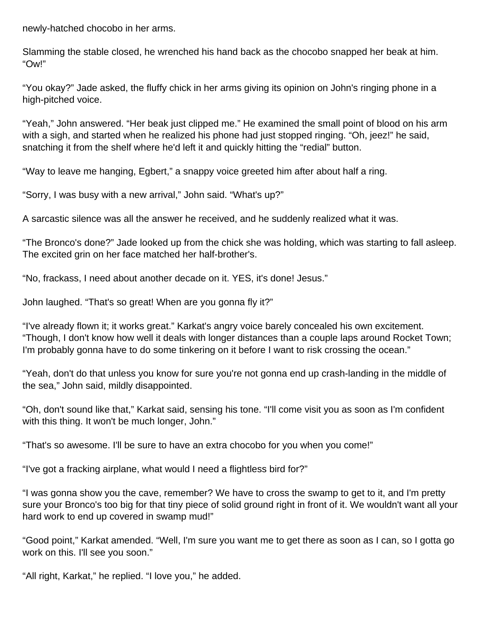newly-hatched chocobo in her arms.

Slamming the stable closed, he wrenched his hand back as the chocobo snapped her beak at him. "Ow!"

"You okay?" Jade asked, the fluffy chick in her arms giving its opinion on John's ringing phone in a high-pitched voice.

"Yeah," John answered. "Her beak just clipped me." He examined the small point of blood on his arm with a sigh, and started when he realized his phone had just stopped ringing. "Oh, jeez!" he said, snatching it from the shelf where he'd left it and quickly hitting the "redial" button.

"Way to leave me hanging, Egbert," a snappy voice greeted him after about half a ring.

"Sorry, I was busy with a new arrival," John said. "What's up?"

A sarcastic silence was all the answer he received, and he suddenly realized what it was.

"The Bronco's done?" Jade looked up from the chick she was holding, which was starting to fall asleep. The excited grin on her face matched her half-brother's.

"No, frackass, I need about another decade on it. YES, it's done! Jesus."

John laughed. "That's so great! When are you gonna fly it?"

"I've already flown it; it works great." Karkat's angry voice barely concealed his own excitement. "Though, I don't know how well it deals with longer distances than a couple laps around Rocket Town; I'm probably gonna have to do some tinkering on it before I want to risk crossing the ocean."

"Yeah, don't do that unless you know for sure you're not gonna end up crash-landing in the middle of the sea," John said, mildly disappointed.

"Oh, don't sound like that," Karkat said, sensing his tone. "I'll come visit you as soon as I'm confident with this thing. It won't be much longer, John."

"That's so awesome. I'll be sure to have an extra chocobo for you when you come!"

"I've got a fracking airplane, what would I need a flightless bird for?"

"I was gonna show you the cave, remember? We have to cross the swamp to get to it, and I'm pretty sure your Bronco's too big for that tiny piece of solid ground right in front of it. We wouldn't want all your hard work to end up covered in swamp mud!"

"Good point," Karkat amended. "Well, I'm sure you want me to get there as soon as I can, so I gotta go work on this. I'll see you soon."

"All right, Karkat," he replied. "I love you," he added.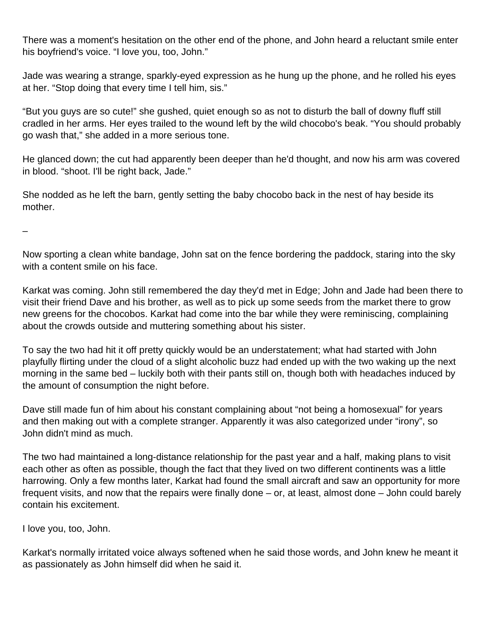There was a moment's hesitation on the other end of the phone, and John heard a reluctant smile enter his boyfriend's voice. "I love you, too, John."

Jade was wearing a strange, sparkly-eyed expression as he hung up the phone, and he rolled his eyes at her. "Stop doing that every time I tell him, sis."

"But you guys are so cute!" she gushed, quiet enough so as not to disturb the ball of downy fluff still cradled in her arms. Her eyes trailed to the wound left by the wild chocobo's beak. "You should probably go wash that," she added in a more serious tone.

He glanced down; the cut had apparently been deeper than he'd thought, and now his arm was covered in blood. "shoot. I'll be right back, Jade."

She nodded as he left the barn, gently setting the baby chocobo back in the nest of hay beside its mother.

–

Now sporting a clean white bandage, John sat on the fence bordering the paddock, staring into the sky with a content smile on his face.

Karkat was coming. John still remembered the day they'd met in Edge; John and Jade had been there to visit their friend Dave and his brother, as well as to pick up some seeds from the market there to grow new greens for the chocobos. Karkat had come into the bar while they were reminiscing, complaining about the crowds outside and muttering something about his sister.

To say the two had hit it off pretty quickly would be an understatement; what had started with John playfully flirting under the cloud of a slight alcoholic buzz had ended up with the two waking up the next morning in the same bed – luckily both with their pants still on, though both with headaches induced by the amount of consumption the night before.

Dave still made fun of him about his constant complaining about "not being a homosexual" for years and then making out with a complete stranger. Apparently it was also categorized under "irony", so John didn't mind as much.

The two had maintained a long-distance relationship for the past year and a half, making plans to visit each other as often as possible, though the fact that they lived on two different continents was a little harrowing. Only a few months later, Karkat had found the small aircraft and saw an opportunity for more frequent visits, and now that the repairs were finally done – or, at least, almost done – John could barely contain his excitement.

I love you, too, John.

Karkat's normally irritated voice always softened when he said those words, and John knew he meant it as passionately as John himself did when he said it.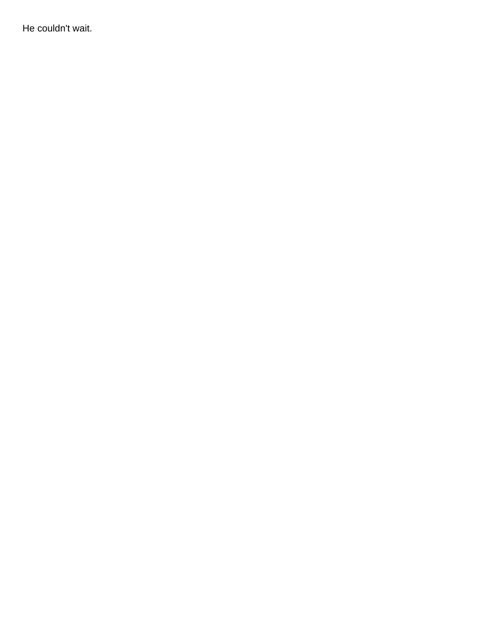He couldn't wait.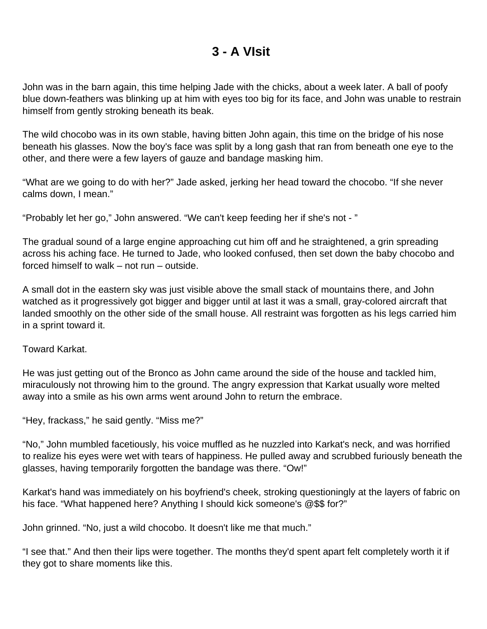#### **3 - A VIsit**

<span id="page-14-0"></span>John was in the barn again, this time helping Jade with the chicks, about a week later. A ball of poofy blue down-feathers was blinking up at him with eyes too big for its face, and John was unable to restrain himself from gently stroking beneath its beak.

The wild chocobo was in its own stable, having bitten John again, this time on the bridge of his nose beneath his glasses. Now the boy's face was split by a long gash that ran from beneath one eye to the other, and there were a few layers of gauze and bandage masking him.

"What are we going to do with her?" Jade asked, jerking her head toward the chocobo. "If she never calms down, I mean."

"Probably let her go," John answered. "We can't keep feeding her if she's not - "

The gradual sound of a large engine approaching cut him off and he straightened, a grin spreading across his aching face. He turned to Jade, who looked confused, then set down the baby chocobo and forced himself to walk – not run – outside.

A small dot in the eastern sky was just visible above the small stack of mountains there, and John watched as it progressively got bigger and bigger until at last it was a small, gray-colored aircraft that landed smoothly on the other side of the small house. All restraint was forgotten as his legs carried him in a sprint toward it.

Toward Karkat.

He was just getting out of the Bronco as John came around the side of the house and tackled him, miraculously not throwing him to the ground. The angry expression that Karkat usually wore melted away into a smile as his own arms went around John to return the embrace.

"Hey, frackass," he said gently. "Miss me?"

"No," John mumbled facetiously, his voice muffled as he nuzzled into Karkat's neck, and was horrified to realize his eyes were wet with tears of happiness. He pulled away and scrubbed furiously beneath the glasses, having temporarily forgotten the bandage was there. "Ow!"

Karkat's hand was immediately on his boyfriend's cheek, stroking questioningly at the layers of fabric on his face. "What happened here? Anything I should kick someone's @\$\$ for?"

John grinned. "No, just a wild chocobo. It doesn't like me that much."

"I see that." And then their lips were together. The months they'd spent apart felt completely worth it if they got to share moments like this.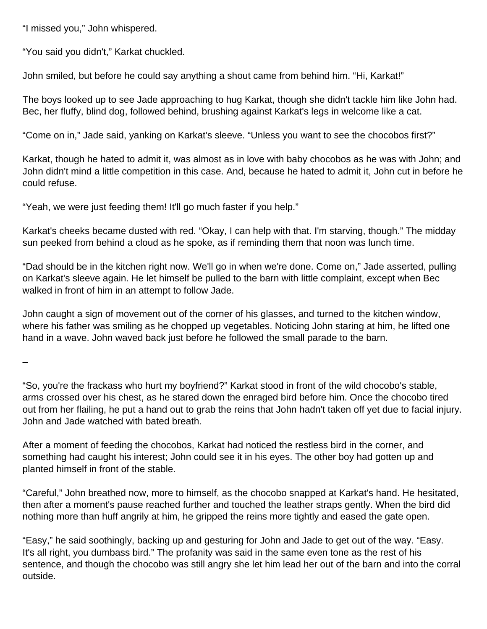"I missed you," John whispered.

"You said you didn't," Karkat chuckled.

John smiled, but before he could say anything a shout came from behind him. "Hi, Karkat!"

The boys looked up to see Jade approaching to hug Karkat, though she didn't tackle him like John had. Bec, her fluffy, blind dog, followed behind, brushing against Karkat's legs in welcome like a cat.

"Come on in," Jade said, yanking on Karkat's sleeve. "Unless you want to see the chocobos first?"

Karkat, though he hated to admit it, was almost as in love with baby chocobos as he was with John; and John didn't mind a little competition in this case. And, because he hated to admit it, John cut in before he could refuse.

"Yeah, we were just feeding them! It'll go much faster if you help."

Karkat's cheeks became dusted with red. "Okay, I can help with that. I'm starving, though." The midday sun peeked from behind a cloud as he spoke, as if reminding them that noon was lunch time.

"Dad should be in the kitchen right now. We'll go in when we're done. Come on," Jade asserted, pulling on Karkat's sleeve again. He let himself be pulled to the barn with little complaint, except when Bec walked in front of him in an attempt to follow Jade.

John caught a sign of movement out of the corner of his glasses, and turned to the kitchen window, where his father was smiling as he chopped up vegetables. Noticing John staring at him, he lifted one hand in a wave. John waved back just before he followed the small parade to the barn.

–

"So, you're the frackass who hurt my boyfriend?" Karkat stood in front of the wild chocobo's stable, arms crossed over his chest, as he stared down the enraged bird before him. Once the chocobo tired out from her flailing, he put a hand out to grab the reins that John hadn't taken off yet due to facial injury. John and Jade watched with bated breath.

After a moment of feeding the chocobos, Karkat had noticed the restless bird in the corner, and something had caught his interest; John could see it in his eyes. The other boy had gotten up and planted himself in front of the stable.

"Careful," John breathed now, more to himself, as the chocobo snapped at Karkat's hand. He hesitated, then after a moment's pause reached further and touched the leather straps gently. When the bird did nothing more than huff angrily at him, he gripped the reins more tightly and eased the gate open.

"Easy," he said soothingly, backing up and gesturing for John and Jade to get out of the way. "Easy. It's all right, you dumbass bird." The profanity was said in the same even tone as the rest of his sentence, and though the chocobo was still angry she let him lead her out of the barn and into the corral outside.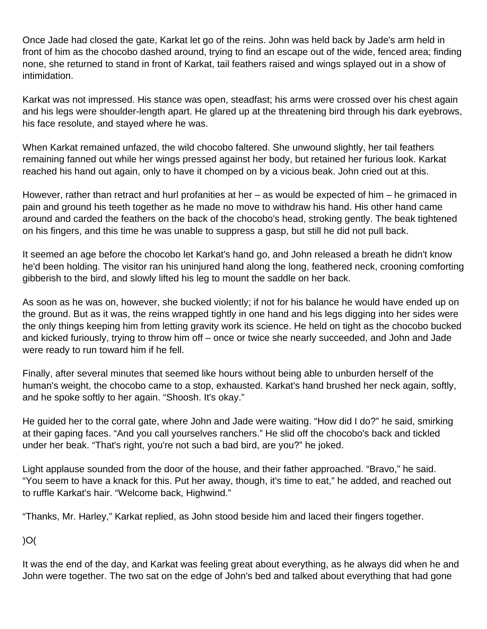Once Jade had closed the gate, Karkat let go of the reins. John was held back by Jade's arm held in front of him as the chocobo dashed around, trying to find an escape out of the wide, fenced area; finding none, she returned to stand in front of Karkat, tail feathers raised and wings splayed out in a show of intimidation.

Karkat was not impressed. His stance was open, steadfast; his arms were crossed over his chest again and his legs were shoulder-length apart. He glared up at the threatening bird through his dark eyebrows, his face resolute, and stayed where he was.

When Karkat remained unfazed, the wild chocobo faltered. She unwound slightly, her tail feathers remaining fanned out while her wings pressed against her body, but retained her furious look. Karkat reached his hand out again, only to have it chomped on by a vicious beak. John cried out at this.

However, rather than retract and hurl profanities at her – as would be expected of him – he grimaced in pain and ground his teeth together as he made no move to withdraw his hand. His other hand came around and carded the feathers on the back of the chocobo's head, stroking gently. The beak tightened on his fingers, and this time he was unable to suppress a gasp, but still he did not pull back.

It seemed an age before the chocobo let Karkat's hand go, and John released a breath he didn't know he'd been holding. The visitor ran his uninjured hand along the long, feathered neck, crooning comforting gibberish to the bird, and slowly lifted his leg to mount the saddle on her back.

As soon as he was on, however, she bucked violently; if not for his balance he would have ended up on the ground. But as it was, the reins wrapped tightly in one hand and his legs digging into her sides were the only things keeping him from letting gravity work its science. He held on tight as the chocobo bucked and kicked furiously, trying to throw him off – once or twice she nearly succeeded, and John and Jade were ready to run toward him if he fell.

Finally, after several minutes that seemed like hours without being able to unburden herself of the human's weight, the chocobo came to a stop, exhausted. Karkat's hand brushed her neck again, softly, and he spoke softly to her again. "Shoosh. It's okay."

He guided her to the corral gate, where John and Jade were waiting. "How did I do?" he said, smirking at their gaping faces. "And you call yourselves ranchers." He slid off the chocobo's back and tickled under her beak. "That's right, you're not such a bad bird, are you?" he joked.

Light applause sounded from the door of the house, and their father approached. "Bravo," he said. "You seem to have a knack for this. Put her away, though, it's time to eat," he added, and reached out to ruffle Karkat's hair. "Welcome back, Highwind."

"Thanks, Mr. Harley," Karkat replied, as John stood beside him and laced their fingers together.

)O(

It was the end of the day, and Karkat was feeling great about everything, as he always did when he and John were together. The two sat on the edge of John's bed and talked about everything that had gone